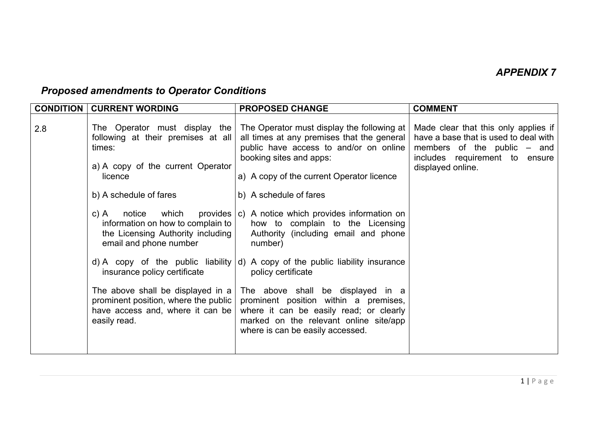## *Proposed amendments to Operator Conditions*

| <b>CONDITION</b> | <b>CURRENT WORDING</b>                                                                                                                                                                                                                                                                                                                                                                                                                         | <b>PROPOSED CHANGE</b>                                                                                                                                                                                                                                                                                                                                                                                                                                                                                                                                                                                                                                                                                      | <b>COMMENT</b>                                                                                                                                                        |
|------------------|------------------------------------------------------------------------------------------------------------------------------------------------------------------------------------------------------------------------------------------------------------------------------------------------------------------------------------------------------------------------------------------------------------------------------------------------|-------------------------------------------------------------------------------------------------------------------------------------------------------------------------------------------------------------------------------------------------------------------------------------------------------------------------------------------------------------------------------------------------------------------------------------------------------------------------------------------------------------------------------------------------------------------------------------------------------------------------------------------------------------------------------------------------------------|-----------------------------------------------------------------------------------------------------------------------------------------------------------------------|
| 2.8              | The Operator must display the<br>following at their premises at all<br>times:<br>a) A copy of the current Operator<br>licence<br>b) A schedule of fares<br>c) A<br>notice<br>information on how to complain to<br>the Licensing Authority including<br>email and phone number<br>insurance policy certificate<br>The above shall be displayed in a<br>prominent position, where the public<br>have access and, where it can be<br>easily read. | The Operator must display the following at<br>all times at any premises that the general<br>public have access to and/or on online<br>booking sites and apps:<br>a) A copy of the current Operator licence<br>b) A schedule of fares<br>which provides $ c $ A notice which provides information on<br>how to complain to the Licensing<br>Authority (including email and phone<br>number)<br>d) A copy of the public liability $ d $ A copy of the public liability insurance<br>policy certificate<br>The above shall be displayed in a<br>prominent position within a premises,<br>where it can be easily read; or clearly<br>marked on the relevant online site/app<br>where is can be easily accessed. | Made clear that this only applies if<br>have a base that is used to deal with<br>members of the public $-$ and<br>includes requirement to ensure<br>displayed online. |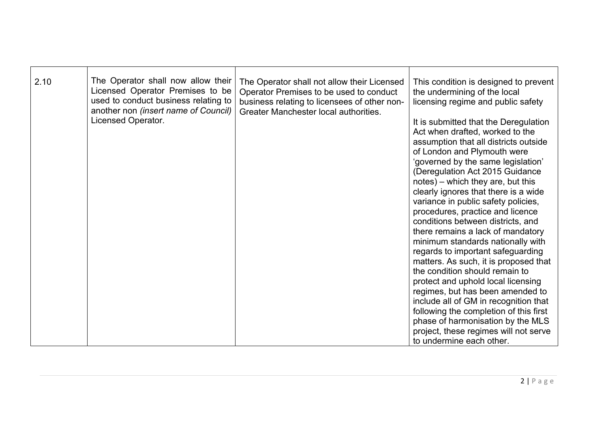| 2.10 | The Operator shall now allow their<br>Licensed Operator Premises to be<br>used to conduct business relating to<br>another non (insert name of Council)<br>Licensed Operator. | The Operator shall not allow their Licensed<br>Operator Premises to be used to conduct<br>business relating to licensees of other non-<br>Greater Manchester local authorities. | This condition is designed to prevent<br>the undermining of the local<br>licensing regime and public safety<br>It is submitted that the Deregulation<br>Act when drafted, worked to the<br>assumption that all districts outside<br>of London and Plymouth were<br>'governed by the same legislation'<br>(Deregulation Act 2015 Guidance<br>notes) – which they are, but this<br>clearly ignores that there is a wide<br>variance in public safety policies,<br>procedures, practice and licence<br>conditions between districts, and<br>there remains a lack of mandatory<br>minimum standards nationally with<br>regards to important safeguarding<br>matters. As such, it is proposed that<br>the condition should remain to |
|------|------------------------------------------------------------------------------------------------------------------------------------------------------------------------------|---------------------------------------------------------------------------------------------------------------------------------------------------------------------------------|---------------------------------------------------------------------------------------------------------------------------------------------------------------------------------------------------------------------------------------------------------------------------------------------------------------------------------------------------------------------------------------------------------------------------------------------------------------------------------------------------------------------------------------------------------------------------------------------------------------------------------------------------------------------------------------------------------------------------------|
|      |                                                                                                                                                                              |                                                                                                                                                                                 | protect and uphold local licensing<br>regimes, but has been amended to<br>include all of GM in recognition that<br>following the completion of this first<br>phase of harmonisation by the MLS<br>project, these regimes will not serve<br>to undermine each other.                                                                                                                                                                                                                                                                                                                                                                                                                                                             |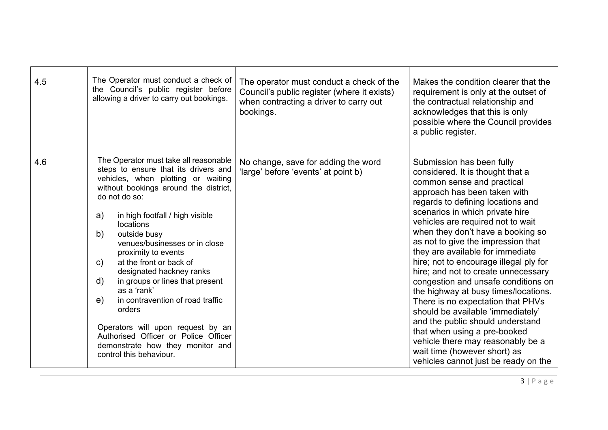| 4.5 | The Operator must conduct a check of<br>the Council's public register before<br>allowing a driver to carry out bookings.                                                                                                                                                                                                                                                                                                                                                                                                                                                                                                                                            | The operator must conduct a check of the<br>Council's public register (where it exists)<br>when contracting a driver to carry out<br>bookings. | Makes the condition clearer that the<br>requirement is only at the outset of<br>the contractual relationship and<br>acknowledges that this is only<br>possible where the Council provides<br>a public register.                                                                                                                                                                                                                                                                                                                                                                                                                                                                                                                                                                    |
|-----|---------------------------------------------------------------------------------------------------------------------------------------------------------------------------------------------------------------------------------------------------------------------------------------------------------------------------------------------------------------------------------------------------------------------------------------------------------------------------------------------------------------------------------------------------------------------------------------------------------------------------------------------------------------------|------------------------------------------------------------------------------------------------------------------------------------------------|------------------------------------------------------------------------------------------------------------------------------------------------------------------------------------------------------------------------------------------------------------------------------------------------------------------------------------------------------------------------------------------------------------------------------------------------------------------------------------------------------------------------------------------------------------------------------------------------------------------------------------------------------------------------------------------------------------------------------------------------------------------------------------|
| 4.6 | The Operator must take all reasonable<br>steps to ensure that its drivers and<br>vehicles, when plotting or waiting<br>without bookings around the district,<br>do not do so:<br>a)<br>in high footfall / high visible<br><b>locations</b><br>outside busy<br>b)<br>venues/businesses or in close<br>proximity to events<br>at the front or back of<br>$\mathsf{C}$ )<br>designated hackney ranks<br>$\mathsf{d}$<br>in groups or lines that present<br>as a 'rank'<br>in contravention of road traffic<br>e)<br>orders<br>Operators will upon request by an<br>Authorised Officer or Police Officer<br>demonstrate how they monitor and<br>control this behaviour. | No change, save for adding the word<br>'large' before 'events' at point b)                                                                     | Submission has been fully<br>considered. It is thought that a<br>common sense and practical<br>approach has been taken with<br>regards to defining locations and<br>scenarios in which private hire<br>vehicles are required not to wait<br>when they don't have a booking so<br>as not to give the impression that<br>they are available for immediate<br>hire; not to encourage illegal ply for<br>hire; and not to create unnecessary<br>congestion and unsafe conditions on<br>the highway at busy times/locations.<br>There is no expectation that PHVs<br>should be available 'immediately'<br>and the public should understand<br>that when using a pre-booked<br>vehicle there may reasonably be a<br>wait time (however short) as<br>vehicles cannot just be ready on the |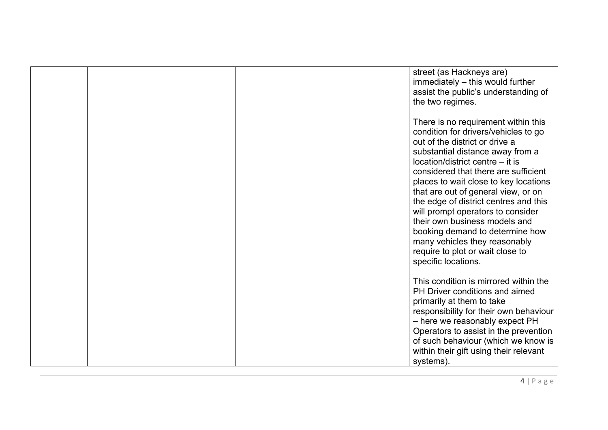|  | street (as Hackneys are)<br>immediately - this would further<br>assist the public's understanding of<br>the two regimes.                                                                                                                                                                                                                                                                                                                                                                                                                                    |
|--|-------------------------------------------------------------------------------------------------------------------------------------------------------------------------------------------------------------------------------------------------------------------------------------------------------------------------------------------------------------------------------------------------------------------------------------------------------------------------------------------------------------------------------------------------------------|
|  | There is no requirement within this<br>condition for drivers/vehicles to go<br>out of the district or drive a<br>substantial distance away from a<br>location/district centre - it is<br>considered that there are sufficient<br>places to wait close to key locations<br>that are out of general view, or on<br>the edge of district centres and this<br>will prompt operators to consider<br>their own business models and<br>booking demand to determine how<br>many vehicles they reasonably<br>require to plot or wait close to<br>specific locations. |
|  | This condition is mirrored within the<br>PH Driver conditions and aimed<br>primarily at them to take<br>responsibility for their own behaviour<br>- here we reasonably expect PH<br>Operators to assist in the prevention<br>of such behaviour (which we know is<br>within their gift using their relevant<br>systems).                                                                                                                                                                                                                                     |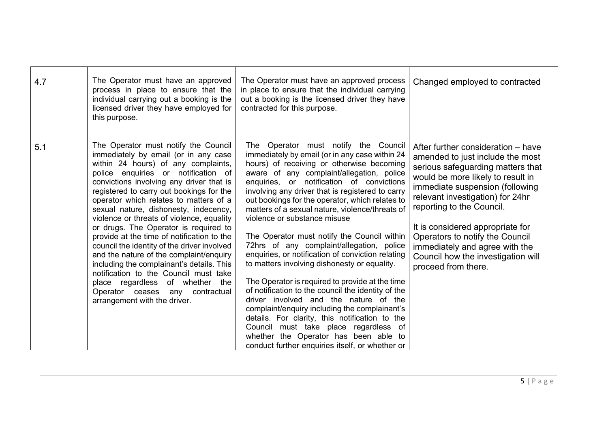| 4.7 | The Operator must have an approved<br>process in place to ensure that the<br>individual carrying out a booking is the<br>licensed driver they have employed for<br>this purpose.                                                                                                                                                                                                                                                                                                                                                                                                                                                                                                                                                                                      | The Operator must have an approved process<br>in place to ensure that the individual carrying<br>out a booking is the licensed driver they have<br>contracted for this purpose.                                                                                                                                                                                                                                                                                                                                                                                                                                                                                                                                                                                                                                                                                                                                                                                                                                    | Changed employed to contracted                                                                                                                                                                                                                                                                                                                                                                                             |
|-----|-----------------------------------------------------------------------------------------------------------------------------------------------------------------------------------------------------------------------------------------------------------------------------------------------------------------------------------------------------------------------------------------------------------------------------------------------------------------------------------------------------------------------------------------------------------------------------------------------------------------------------------------------------------------------------------------------------------------------------------------------------------------------|--------------------------------------------------------------------------------------------------------------------------------------------------------------------------------------------------------------------------------------------------------------------------------------------------------------------------------------------------------------------------------------------------------------------------------------------------------------------------------------------------------------------------------------------------------------------------------------------------------------------------------------------------------------------------------------------------------------------------------------------------------------------------------------------------------------------------------------------------------------------------------------------------------------------------------------------------------------------------------------------------------------------|----------------------------------------------------------------------------------------------------------------------------------------------------------------------------------------------------------------------------------------------------------------------------------------------------------------------------------------------------------------------------------------------------------------------------|
| 5.1 | The Operator must notify the Council<br>immediately by email (or in any case<br>within 24 hours) of any complaints,<br>police enquiries or notification of<br>convictions involving any driver that is<br>registered to carry out bookings for the<br>operator which relates to matters of a<br>sexual nature, dishonesty, indecency,<br>violence or threats of violence, equality<br>or drugs. The Operator is required to<br>provide at the time of notification to the<br>council the identity of the driver involved<br>and the nature of the complaint/enquiry<br>including the complainant's details. This<br>notification to the Council must take<br>place regardless of whether<br>the<br>Operator ceases<br>any contractual<br>arrangement with the driver. | The Operator must notify the Council<br>immediately by email (or in any case within 24<br>hours) of receiving or otherwise becoming<br>aware of any complaint/allegation, police<br>enquiries, or notification of convictions<br>involving any driver that is registered to carry<br>out bookings for the operator, which relates to<br>matters of a sexual nature, violence/threats of<br>violence or substance misuse<br>The Operator must notify the Council within<br>72hrs of any complaint/allegation, police<br>enquiries, or notification of conviction relating<br>to matters involving dishonesty or equality.<br>The Operator is required to provide at the time<br>of notification to the council the identity of the<br>driver involved and the nature of the<br>complaint/enquiry including the complainant's<br>details. For clarity, this notification to the<br>Council must take place regardless of<br>whether the Operator has been able to<br>conduct further enquiries itself, or whether or | After further consideration - have<br>amended to just include the most<br>serious safeguarding matters that<br>would be more likely to result in<br>immediate suspension (following<br>relevant investigation) for 24hr<br>reporting to the Council.<br>It is considered appropriate for<br>Operators to notify the Council<br>immediately and agree with the<br>Council how the investigation will<br>proceed from there. |